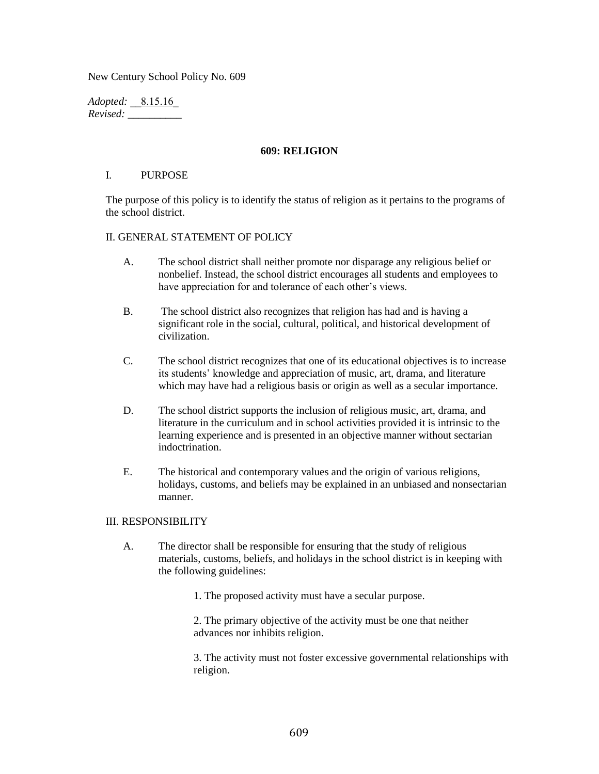New Century School Policy No. 609

*Adopted: \_\_8.15.16\_ Revised: \_\_\_\_\_\_\_\_\_\_*

## **609: RELIGION**

## I. PURPOSE

The purpose of this policy is to identify the status of religion as it pertains to the programs of the school district.

## II. GENERAL STATEMENT OF POLICY

- A. The school district shall neither promote nor disparage any religious belief or nonbelief. Instead, the school district encourages all students and employees to have appreciation for and tolerance of each other's views.
- B. The school district also recognizes that religion has had and is having a significant role in the social, cultural, political, and historical development of civilization.
- C. The school district recognizes that one of its educational objectives is to increase its students' knowledge and appreciation of music, art, drama, and literature which may have had a religious basis or origin as well as a secular importance.
- D. The school district supports the inclusion of religious music, art, drama, and literature in the curriculum and in school activities provided it is intrinsic to the learning experience and is presented in an objective manner without sectarian indoctrination.
- E. The historical and contemporary values and the origin of various religions, holidays, customs, and beliefs may be explained in an unbiased and nonsectarian manner.

## III. RESPONSIBILITY

A. The director shall be responsible for ensuring that the study of religious materials, customs, beliefs, and holidays in the school district is in keeping with the following guidelines:

1. The proposed activity must have a secular purpose.

2. The primary objective of the activity must be one that neither advances nor inhibits religion.

3. The activity must not foster excessive governmental relationships with religion.